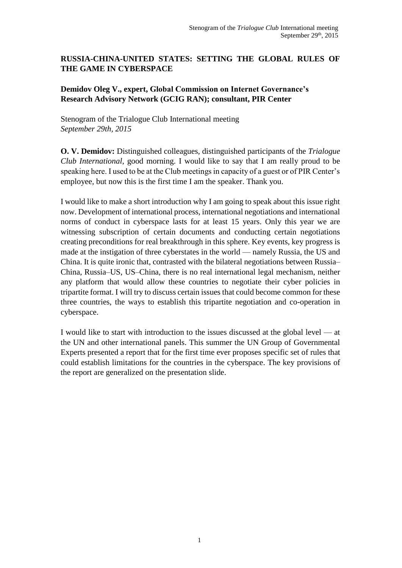## **RUSSIA-CHINA-UNITED STATES: SETTING THE GLOBAL RULES OF THE GAME IN CYBERSPACE**

## **Demidov Oleg V., expert, Global Commission on Internet Governance's Research Advisory Network (GCIG RAN); consultant, PIR Center**

Stenogram of the Trialogue Club International meeting *September 29th, 2015*

**O. V. Demidov:** Distinguished colleagues, distinguished participants of the *Trialogue Club International*, good morning. I would like to say that I am really proud to be speaking here. I used to be at the Club meetings in capacity of a guest or of PIR Center's employee, but now this is the first time I am the speaker. Thank you.

I would like to make a short introduction why I am going to speak about this issue right now. Development of international process, international negotiations and international norms of conduct in cyberspace lasts for at least 15 years. Only this year we are witnessing subscription of certain documents and conducting certain negotiations creating preconditions for real breakthrough in this sphere. Key events, key progress is made at the instigation of three cyberstates in the world — namely Russia, the US and China. It is quite ironic that, contrasted with the bilateral negotiations between Russia– China, Russia–US, US–China, there is no real international legal mechanism, neither any platform that would allow these countries to negotiate their cyber policies in tripartite format. I will try to discuss certain issues that could become common for these three countries, the ways to establish this tripartite negotiation and co-operation in cyberspace.

I would like to start with introduction to the issues discussed at the global level — at the UN and other international panels. This summer the UN Group of Governmental Experts presented a report that for the first time ever proposes specific set of rules that could establish limitations for the countries in the cyberspace. The key provisions of the report are generalized on the presentation slide.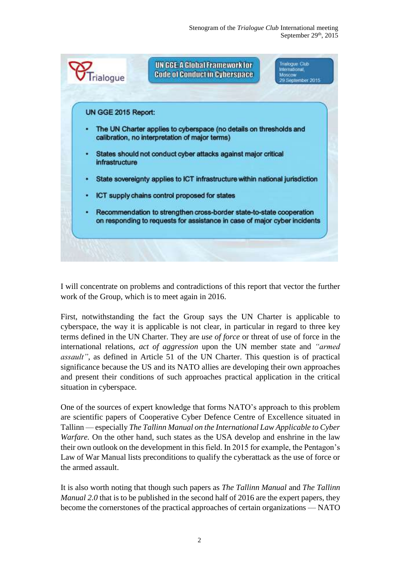

I will concentrate on problems and contradictions of this report that vector the further work of the Group, which is to meet again in 2016.

First, notwithstanding the fact the Group says the UN Charter is applicable to cyberspace, the way it is applicable is not clear, in particular in regard to three key terms defined in the UN Charter. They are *use of force* or threat of use of force in the international relations, *act of aggression* upon the UN member state and *"armed assault"*, as defined in Article 51 of the UN Charter. This question is of practical significance because the US and its NATO allies are developing their own approaches and present their conditions of such approaches practical application in the critical situation in cyberspace.

One of the sources of expert knowledge that forms NATO's approach to this problem are scientific papers of Cooperative Cyber Defence Centre of Excellence situated in Tallinn — especially *The Tallinn Manual on the International Law Applicable to Cyber Warfare.* On the other hand, such states as the USA develop and enshrine in the law their own outlook on the development in this field. In 2015 for example, the Pentagon's Law of War Manual lists preconditions to qualify the cyberattack as the use of force or the armed assault.

It is also worth noting that though such papers as *The Tallinn Manual* and *The Tallinn Manual 2.0* that is to be published in the second half of 2016 are the expert papers, they become the cornerstones of the practical approaches of certain organizations — NATO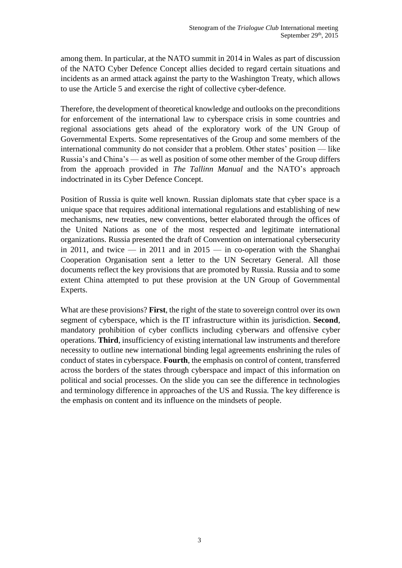among them. In particular, at the NATO summit in 2014 in Wales as part of discussion of the NATO Cyber Defence Concept allies decided to regard certain situations and incidents as an armed attack against the party to the Washington Treaty, which allows to use the Article 5 and exercise the right of collective cyber-defence.

Therefore, the development of theoretical knowledge and outlooks on the preconditions for enforcement of the international law to cyberspace crisis in some countries and regional associations gets ahead of the exploratory work of the UN Group of Governmental Experts. Some representatives of the Group and some members of the international community do not consider that a problem. Other states' position — like Russia's and China's — as well as position of some other member of the Group differs from the approach provided in *The Tallinn Manual* and the NATO's approach indoctrinated in its Cyber Defence Concept.

Position of Russia is quite well known. Russian diplomats state that cyber space is a unique space that requires additional international regulations and establishing of new mechanisms, new treaties, new conventions, better elaborated through the offices of the United Nations as one of the most respected and legitimate international organizations. Russia presented the draft of Convention on international cybersecurity in 2011, and twice  $-$  in 2011 and in 2015  $-$  in co-operation with the Shanghai Cooperation Organisation sent a letter to the UN Secretary General. All those documents reflect the key provisions that are promoted by Russia. Russia and to some extent China attempted to put these provision at the UN Group of Governmental Experts.

What are these provisions? **First**, the right of the state to sovereign control over its own segment of cyberspace, which is the IT infrastructure within its jurisdiction. **Second**, mandatory prohibition of cyber conflicts including cyberwars and offensive cyber operations. **Third**, insufficiency of existing international law instruments and therefore necessity to outline new international binding legal agreements enshrining the rules of conduct of states in cyberspace. **Fourth**, the emphasis on control of content, transferred across the borders of the states through cyberspace and impact of this information on political and social processes. On the slide you can see the difference in technologies and terminology difference in approaches of the US and Russia. The key difference is the emphasis on content and its influence on the mindsets of people.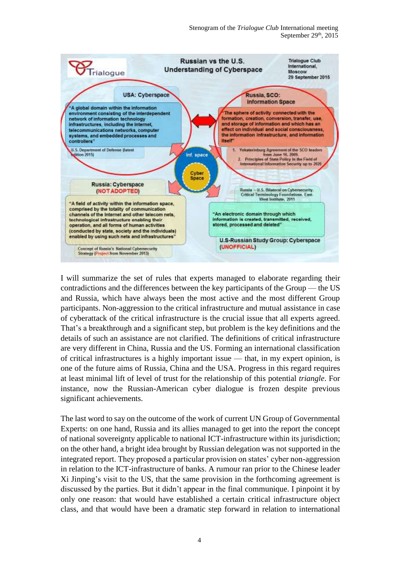

I will summarize the set of rules that experts managed to elaborate regarding their contradictions and the differences between the key participants of the Group — the US and Russia, which have always been the most active and the most different Group participants. Non-aggression to the critical infrastructure and mutual assistance in case of cyberattack of the critical infrastructure is the crucial issue that all experts agreed. That's a breakthrough and a significant step, but problem is the key definitions and the details of such an assistance are not clarified. The definitions of critical infrastructure are very different in China, Russia and the US. Forming an international classification of critical infrastructures is a highly important issue — that, in my expert opinion, is one of the future aims of Russia, China and the USA. Progress in this regard requires at least minimal lift of level of trust for the relationship of this potential *triangle*. For instance, now the Russian-American cyber dialogue is frozen despite previous significant achievements.

The last word to say on the outcome of the work of current UN Group of Governmental Experts: on one hand, Russia and its allies managed to get into the report the concept of national sovereignty applicable to national ICT-infrastructure within its jurisdiction; on the other hand, a bright idea brought by Russian delegation was not supported in the integrated report. They proposed a particular provision on states' cyber non-aggression in relation to the ICT-infrastructure of banks. A rumour ran prior to the Chinese leader Xi Jinping's visit to the US, that the same provision in the forthcoming agreement is discussed by the parties. But it didn't appear in the final communique. I pinpoint it by only one reason: that would have established a certain critical infrastructure object class, and that would have been a dramatic step forward in relation to international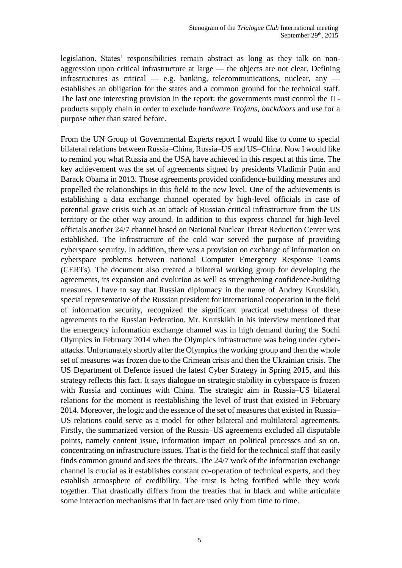legislation. States' responsibilities remain abstract as long as they talk on nonaggression upon critical infrastructure at large — the objects are not clear. Defining infrastructures as critical — e.g. banking, telecommunications, nuclear, any establishes an obligation for the states and a common ground for the technical staff. The last one interesting provision in the report: the governments must control the ITproducts supply chain in order to exclude *hardware Trojans, backdoors* and use for a purpose other than stated before.

From the UN Group of Governmental Experts report I would like to come to special bilateral relations between Russia–China, Russia–US and US–China. Now I would like to remind you what Russia and the USA have achieved in this respect at this time. The key achievement was the set of agreements signed by presidents Vladimir Putin and Barack Obama in 2013. Those agreements provided confidence-building measures and propelled the relationships in this field to the new level. One of the achievements is establishing a data exchange channel operated by high-level officials in case of potential grave crisis such as an attack of Russian critical infrastructure from the US territory or the other way around. In addition to this express channel for high-level officials another 24/7 channel based on National Nuclear Threat Reduction Center was established. The infrastructure of the cold war served the purpose of providing cyberspace security. In addition, there was a provision on exchange of information on cyberspace problems between national Computer Emergency Response Teams (CERTs). The document also created a bilateral working group for developing the agreements, its expansion and evolution as well as strengthening confidence-building measures. I have to say that Russian diplomacy in the name of Andrey Krutskikh, special representative of the Russian president for international cooperation in the field of information security, recognized the significant practical usefulness of these agreements to the Russian Federation. Mr. Krutskikh in his interview mentioned that the emergency information exchange channel was in high demand during the Sochi Olympics in February 2014 when the Olympics infrastructure was being under cyberattacks. Unfortunately shortly after the Olympics the working group and then the whole set of measures was frozen due to the Crimean crisis and then the Ukrainian crisis. The US Department of Defence issued the latest Cyber Strategy in Spring 2015, and this strategy reflects this fact. It says dialogue on strategic stability in cyberspace is frozen with Russia and continues with China. The strategic aim in Russia–US bilateral relations for the moment is reestablishing the level of trust that existed in February 2014. Moreover, the logic and the essence of the set of measures that existed in Russia– US relations could serve as a model for other bilateral and multilateral agreements. Firstly, the summarized version of the Russia–US agreements excluded all disputable points, namely content issue, information impact on political processes and so on, concentrating on infrastructure issues. That is the field for the technical staff that easily finds common ground and sees the threats. The 24/7 work of the information exchange channel is crucial as it establishes constant co-operation of technical experts, and they establish atmosphere of credibility. The trust is being fortified while they work together. That drastically differs from the treaties that in black and white articulate some interaction mechanisms that in fact are used only from time to time.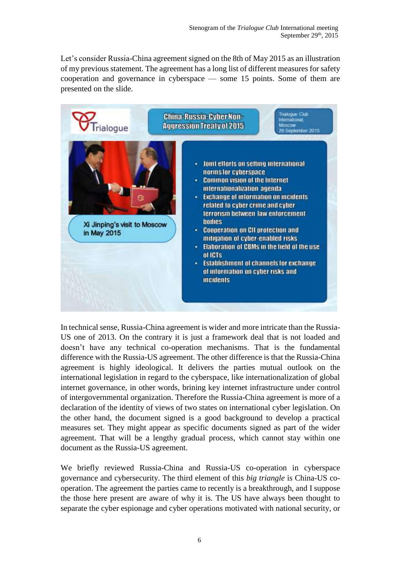Let's consider Russia-China agreement signed on the 8th of May 2015 as an illustration of my previous statement. The agreement has a long list of different measures for safety cooperation and governance in cyberspace — some 15 points. Some of them are presented on the slide.



In technical sense, Russia-China agreement is wider and more intricate than the Russia-US one of 2013. On the contrary it is just a framework deal that is not loaded and doesn't have any technical co-operation mechanisms. That is the fundamental difference with the Russia-US agreement. The other difference is that the Russia-China agreement is highly ideological. It delivers the parties mutual outlook on the international legislation in regard to the cyberspace, like internationalization of global internet governance, in other words, brining key internet infrastructure under control of intergovernmental organization. Therefore the Russia-China agreement is more of a declaration of the identity of views of two states on international cyber legislation. On the other hand, the document signed is a good background to develop a practical measures set. They might appear as specific documents signed as part of the wider agreement. That will be a lengthy gradual process, which cannot stay within one document as the Russia-US agreement.

We briefly reviewed Russia-China and Russia-US co-operation in cyberspace governance and cybersecurity. The third element of this *big triangle* is China-US cooperation. The agreement the parties came to recently is a breakthrough, and I suppose the those here present are aware of why it is. The US have always been thought to separate the cyber espionage and cyber operations motivated with national security, or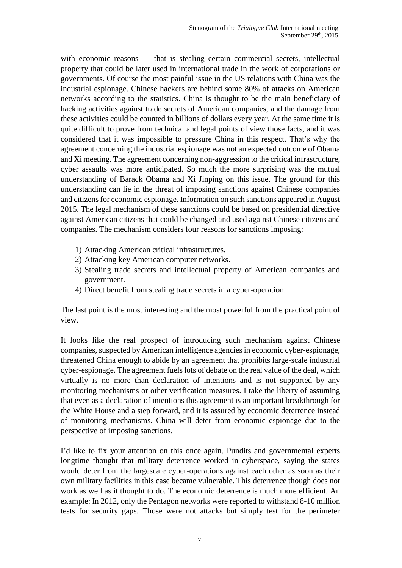with economic reasons — that is stealing certain commercial secrets, intellectual property that could be later used in international trade in the work of corporations or governments. Of course the most painful issue in the US relations with China was the industrial espionage. Chinese hackers are behind some 80% of attacks on American networks according to the statistics. China is thought to be the main beneficiary of hacking activities against trade secrets of American companies, and the damage from these activities could be counted in billions of dollars every year. At the same time it is quite difficult to prove from technical and legal points of view those facts, and it was considered that it was impossible to pressure China in this respect. That's why the agreement concerning the industrial espionage was not an expected outcome of Obama and Xi meeting. The agreement concerning non-aggression to the critical infrastructure, cyber assaults was more anticipated. So much the more surprising was the mutual understanding of Barack Obama and Xi Jinping on this issue. The ground for this understanding can lie in the threat of imposing sanctions against Chinese companies and citizens for economic espionage. Information on such sanctions appeared in August 2015. The legal mechanism of these sanctions could be based on presidential directive against American citizens that could be changed and used against Chinese citizens and companies. The mechanism considers four reasons for sanctions imposing:

- 1) Attacking American critical infrastructures.
- 2) Attacking key American computer networks.
- 3) Stealing trade secrets and intellectual property of American companies and government.
- 4) Direct benefit from stealing trade secrets in a cyber-operation.

The last point is the most interesting and the most powerful from the practical point of view.

It looks like the real prospect of introducing such mechanism against Chinese companies, suspected by American intelligence agencies in economic cyber-espionage, threatened China enough to abide by an agreement that prohibits large-scale industrial cyber-espionage. The agreement fuels lots of debate on the real value of the deal, which virtually is no more than declaration of intentions and is not supported by any monitoring mechanisms or other verification measures. I take the liberty of assuming that even as a declaration of intentions this agreement is an important breakthrough for the White House and a step forward, and it is assured by economic deterrence instead of monitoring mechanisms. China will deter from economic espionage due to the perspective of imposing sanctions.

I'd like to fix your attention on this once again. Pundits and governmental experts longtime thought that military deterrence worked in cyberspace, saying the states would deter from the largescale cyber-operations against each other as soon as their own military facilities in this case became vulnerable. This deterrence though does not work as well as it thought to do. The economic deterrence is much more efficient. An example: In 2012, only the Pentagon networks were reported to withstand 8-10 million tests for security gaps. Those were not attacks but simply test for the perimeter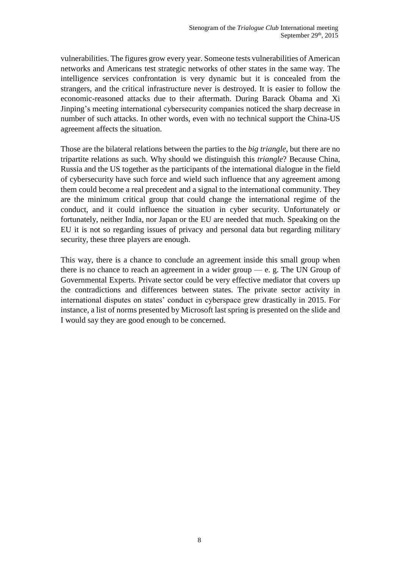vulnerabilities. The figures grow every year. Someone tests vulnerabilities of American networks and Americans test strategic networks of other states in the same way. The intelligence services confrontation is very dynamic but it is concealed from the strangers, and the critical infrastructure never is destroyed. It is easier to follow the economic-reasoned attacks due to their aftermath. During Barack Obama and Xi Jinping's meeting international cybersecurity companies noticed the sharp decrease in number of such attacks. In other words, even with no technical support the China-US agreement affects the situation.

Those are the bilateral relations between the parties to the *big triangle*, but there are no tripartite relations as such. Why should we distinguish this *triangle*? Because China, Russia and the US together as the participants of the international dialogue in the field of cybersecurity have such force and wield such influence that any agreement among them could become a real precedent and a signal to the international community. They are the minimum critical group that could change the international regime of the conduct, and it could influence the situation in cyber security. Unfortunately or fortunately, neither India, nor Japan or the EU are needed that much. Speaking on the EU it is not so regarding issues of privacy and personal data but regarding military security, these three players are enough.

This way, there is a chance to conclude an agreement inside this small group when there is no chance to reach an agreement in a wider group  $-$  e. g. The UN Group of Governmental Experts. Private sector could be very effective mediator that covers up the contradictions and differences between states. The private sector activity in international disputes on states' conduct in cyberspace grew drastically in 2015. For instance, a list of norms presented by Microsoft last spring is presented on the slide and I would say they are good enough to be concerned.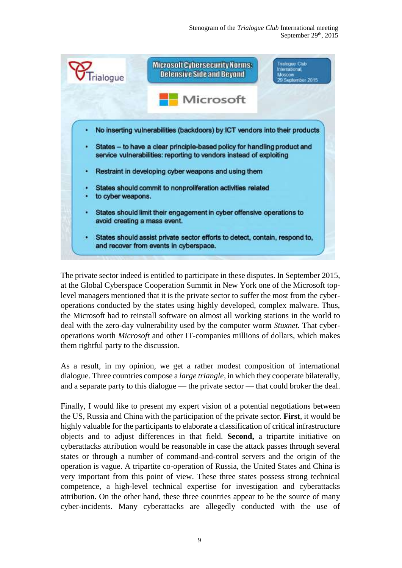

The private sector indeed is entitled to participate in these disputes. In September 2015, at the Global Cyberspace Cooperation Summit in New York one of the Microsoft toplevel managers mentioned that it is the private sector to suffer the most from the cyberoperations conducted by the states using highly developed, complex malware. Thus, the Microsoft had to reinstall software on almost all working stations in the world to deal with the zero-day vulnerability used by the computer worm *Stuxnet.* That cyberoperations worth *Microsoft* and other IT-companies millions of dollars, which makes them rightful party to the discussion.

As a result, in my opinion, we get a rather modest composition of international dialogue. Three countries compose a *large triangle,* in which they cooperate bilaterally, and a separate party to this dialogue — the private sector — that could broker the deal.

Finally, I would like to present my expert vision of a potential negotiations between the US, Russia and China with the participation of the private sector. **First**, it would be highly valuable for the participants to elaborate a classification of critical infrastructure objects and to adjust differences in that field. **Second,** a tripartite initiative on cyberattacks attribution would be reasonable in case the attack passes through several states or through a number of command-and-control servers and the origin of the operation is vague. A tripartite co-operation of Russia, the United States and China is very important from this point of view. These three states possess strong technical competence, a high-level technical expertise for investigation and cyberattacks attribution. On the other hand, these three countries appear to be the source of many cyber-incidents. Many cyberattacks are allegedly conducted with the use of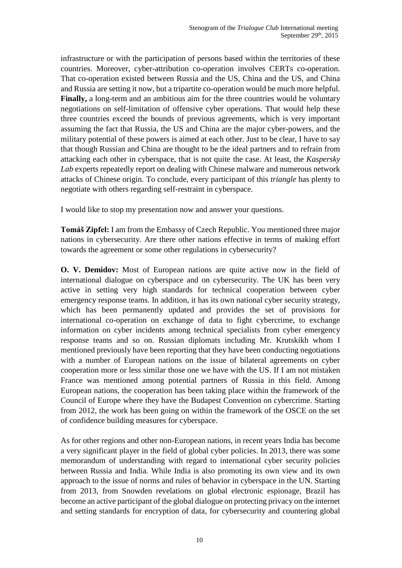infrastructure or with the participation of persons based within the territories of these countries. Moreover, cyber-attribution co-operation involves CERTs co-operation. That co-operation existed between Russia and the US, China and the US, and China and Russia are setting it now, but a tripartite co-operation would be much more helpful. **Finally,** a long-term and an ambitious aim for the three countries would be voluntary negotiations on self-limitation of offensive cyber operations. That would help these three countries exceed the bounds of previous agreements, which is very important assuming the fact that Russia, the US and China are the major cyber-powers, and the military potential of these powers is aimed at each other. Just to be clear, I have to say that though Russian and China are thought to be the ideal partners and to refrain from attacking each other in cyberspace, that is not quite the case. At least, the *Kaspersky Lab* experts repeatedly report on dealing with Chinese malware and numerous network attacks of Chinese origin. To conclude, every participant of this *triangle* has plenty to negotiate with others regarding self-restraint in cyberspace.

I would like to stop my presentation now and answer your questions.

**Tomáš Zipfel:** I am from the Embassy of Czech Republic. You mentioned three major nations in cybersecurity. Are there other nations effective in terms of making effort towards the agreement or some other regulations in cybersecurity?

**O. V. Demidov:** Most of European nations are quite active now in the field of international dialogue on cyberspace and on cybersecurity. The UK has been very active in setting very high standards for technical cooperation between cyber emergency response teams. In addition, it has its own national cyber security strategy, which has been permanently updated and provides the set of provisions for international co-operation on exchange of data to fight cybercrime, to exchange information on cyber incidents among technical specialists from cyber emergency response teams and so on. Russian diplomats including Mr. Krutskikh whom I mentioned previously have been reporting that they have been conducting negotiations with a number of European nations on the issue of bilateral agreements on cyber cooperation more or less similar those one we have with the US. If I am not mistaken France was mentioned among potential partners of Russia in this field. Among European nations, the cooperation has been taking place within the framework of the Council of Europe where they have the Budapest Convention on cybercrime. Starting from 2012, the work has been going on within the framework of the OSCE on the set of confidence building measures for cyberspace.

As for other regions and other non-European nations, in recent years India has become a very significant player in the field of global cyber policies. In 2013, there was some memorandum of understanding with regard to international cyber security policies between Russia and India. While India is also promoting its own view and its own approach to the issue of norms and rules of behavior in cyberspace in the UN. Starting from 2013, from Snowden revelations on global electronic espionage, Brazil has become an active participant of the global dialogue on protecting privacy on the internet and setting standards for encryption of data, for cybersecurity and countering global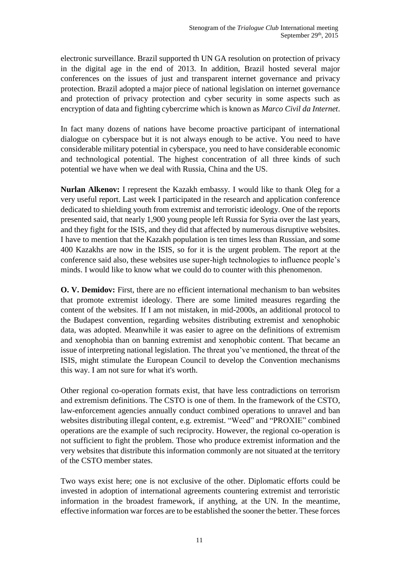electronic surveillance. Brazil supported th UN GA resolution on protection of privacy in the digital age in the end of 2013. In addition, Brazil hosted several major conferences on the issues of just and transparent internet governance and privacy protection. Brazil adopted a major piece of national legislation on internet governance and protection of privacy protection and cyber security in some aspects such as encryption of data and fighting cybercrime which is known as *Marco Civil da Internet*.

In fact many dozens of nations have become proactive participant of international dialogue on cyberspace but it is not always enough to be active. You need to have considerable military potential in cyberspace, you need to have considerable economic and technological potential. The highest concentration of all three kinds of such potential we have when we deal with Russia, China and the US.

**Nurlan Alkenov:** I represent the Kazakh embassy. I would like to thank Oleg for a very useful report. Last week I participated in the research and application conference dedicated to shielding youth from extremist and terroristic ideology. One of the reports presented said, that nearly 1,900 young people left Russia for Syria over the last years, and they fight for the ISIS, and they did that affected by numerous disruptive websites. I have to mention that the Kazakh population is ten times less than Russian, and some 400 Kazakhs are now in the ISIS, so for it is the urgent problem. The report at the conference said also, these websites use super-high technologies to influence people's minds. I would like to know what we could do to counter with this phenomenon.

**O. V. Demidov:** First, there are no efficient international mechanism to ban websites that promote extremist ideology. There are some limited measures regarding the content of the websites. If I am not mistaken, in mid-2000s, an additional protocol to the Budapest convention, regarding websites distributing extremist and xenophobic data, was adopted. Meanwhile it was easier to agree on the definitions of extremism and xenophobia than on banning extremist and xenophobic content. That became an issue of interpreting national legislation. The threat you've mentioned, the threat of the ISIS, might stimulate the European Council to develop the Convention mechanisms this way. I am not sure for what it's worth.

Other regional co-operation formats exist, that have less contradictions on terrorism and extremism definitions. The CSTO is one of them. In the framework of the CSTO, law-enforcement agencies annually conduct combined operations to unravel and ban websites distributing illegal content, e.g. extremist. "Weed" and "PROXIE" combined operations are the example of such reciprocity. However, the regional co-operation is not sufficient to fight the problem. Those who produce extremist information and the very websites that distribute this information commonly are not situated at the territory of the CSTO member states.

Two ways exist here; one is not exclusive of the other. Diplomatic efforts could be invested in adoption of international agreements countering extremist and terroristic information in the broadest framework, if anything, at the UN. In the meantime, effective information war forces are to be established the sooner the better. These forces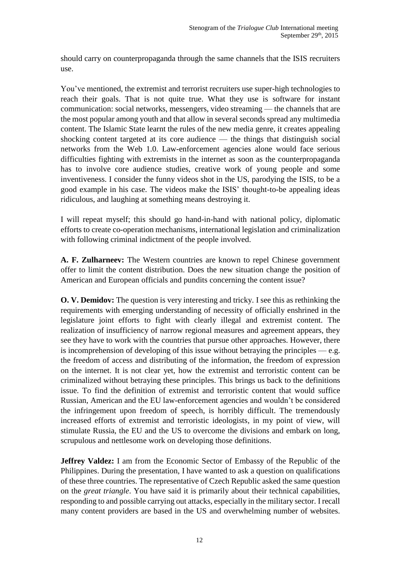should carry on counterpropaganda through the same channels that the ISIS recruiters use.

You've mentioned, the extremist and terrorist recruiters use super-high technologies to reach their goals. That is not quite true. What they use is software for instant communication: social networks, messengers, video streaming — the channels that are the most popular among youth and that allow in several seconds spread any multimedia content. The Islamic State learnt the rules of the new media genre, it creates appealing shocking content targeted at its core audience — the things that distinguish social networks from the Web 1.0. Law-enforcement agencies alone would face serious difficulties fighting with extremists in the internet as soon as the counterpropaganda has to involve core audience studies, creative work of young people and some inventiveness. I consider the funny videos shot in the US, parodying the ISIS, to be a good example in his case. The videos make the ISIS' thought-to-be appealing ideas ridiculous, and laughing at something means destroying it.

I will repeat myself; this should go hand-in-hand with national policy, diplomatic efforts to create co-operation mechanisms, international legislation and criminalization with following criminal indictment of the people involved.

**A. F. Zulharneev:** The Western countries are known to repel Chinese government offer to limit the content distribution. Does the new situation change the position of American and European officials and pundits concerning the content issue?

**O. V. Demidov:** The question is very interesting and tricky. I see this as rethinking the requirements with emerging understanding of necessity of officially enshrined in the legislature joint efforts to fight with clearly illegal and extremist content. The realization of insufficiency of narrow regional measures and agreement appears, they see they have to work with the countries that pursue other approaches. However, there is incomprehension of developing of this issue without betraying the principles  $-e.g.$ the freedom of access and distributing of the information, the freedom of expression on the internet. It is not clear yet, how the extremist and terroristic content can be criminalized without betraying these principles. This brings us back to the definitions issue. To find the definition of extremist and terroristic content that would suffice Russian, American and the EU law-enforcement agencies and wouldn't be considered the infringement upon freedom of speech, is horribly difficult. The tremendously increased efforts of extremist and terroristic ideologists, in my point of view, will stimulate Russia, the EU and the US to overcome the divisions and embark on long, scrupulous and nettlesome work on developing those definitions.

**Jeffrey Valdez:** I am from the Economic Sector of Embassy of the Republic of the Philippines. During the presentation, I have wanted to ask a question on qualifications of these three countries. The representative of Czech Republic asked the same question on the *great triangle*. You have said it is primarily about their technical capabilities, responding to and possible carrying out attacks, especially in the military sector. I recall many content providers are based in the US and overwhelming number of websites.